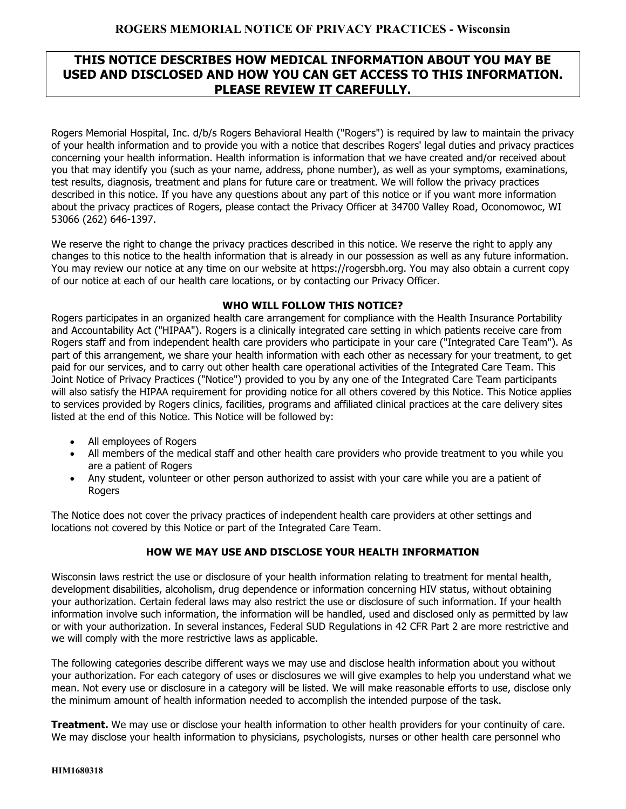# **THIS NOTICE DESCRIBES HOW MEDICAL INFORMATION ABOUT YOU MAY BE USED AND DISCLOSED AND HOW YOU CAN GET ACCESS TO THIS INFORMATION. PLEASE REVIEW IT CAREFULLY.**

Rogers Memorial Hospital, Inc. d/b/s Rogers Behavioral Health ("Rogers") is required by law to maintain the privacy of your health information and to provide you with a notice that describes Rogers' legal duties and privacy practices concerning your health information. Health information is information that we have created and/or received about you that may identify you (such as your name, address, phone number), as well as your symptoms, examinations, test results, diagnosis, treatment and plans for future care or treatment. We will follow the privacy practices described in this notice. If you have any questions about any part of this notice or if you want more information about the privacy practices of Rogers, please contact the Privacy Officer at 34700 Valley Road, Oconomowoc, WI 53066 (262) 646-1397.

We reserve the right to change the privacy practices described in this notice. We reserve the right to apply any changes to this notice to the health information that is already in our possession as well as any future information. You may review our notice at any time on our website at https://rogersbh.org. You may also obtain a current copy of our notice at each of our health care locations, or by contacting our Privacy Officer.

#### **WHO WILL FOLLOW THIS NOTICE?**

Rogers participates in an organized health care arrangement for compliance with the Health Insurance Portability and Accountability Act ("HIPAA"). Rogers is a clinically integrated care setting in which patients receive care from Rogers staff and from independent health care providers who participate in your care ("Integrated Care Team"). As part of this arrangement, we share your health information with each other as necessary for your treatment, to get paid for our services, and to carry out other health care operational activities of the Integrated Care Team. This Joint Notice of Privacy Practices ("Notice") provided to you by any one of the Integrated Care Team participants will also satisfy the HIPAA requirement for providing notice for all others covered by this Notice. This Notice applies to services provided by Rogers clinics, facilities, programs and affiliated clinical practices at the care delivery sites listed at the end of this Notice. This Notice will be followed by:

- All employees of Rogers
- All members of the medical staff and other health care providers who provide treatment to you while you are a patient of Rogers
- Any student, volunteer or other person authorized to assist with your care while you are a patient of **Rogers**

The Notice does not cover the privacy practices of independent health care providers at other settings and locations not covered by this Notice or part of the Integrated Care Team.

### **HOW WE MAY USE AND DISCLOSE YOUR HEALTH INFORMATION**

Wisconsin laws restrict the use or disclosure of your health information relating to treatment for mental health, development disabilities, alcoholism, drug dependence or information concerning HIV status, without obtaining your authorization. Certain federal laws may also restrict the use or disclosure of such information. If your health information involve such information, the information will be handled, used and disclosed only as permitted by law or with your authorization. In several instances, Federal SUD Regulations in 42 CFR Part 2 are more restrictive and we will comply with the more restrictive laws as applicable.

The following categories describe different ways we may use and disclose health information about you without your authorization. For each category of uses or disclosures we will give examples to help you understand what we mean. Not every use or disclosure in a category will be listed. We will make reasonable efforts to use, disclose only the minimum amount of health information needed to accomplish the intended purpose of the task.

**Treatment.** We may use or disclose your health information to other health providers for your continuity of care. We may disclose your health information to physicians, psychologists, nurses or other health care personnel who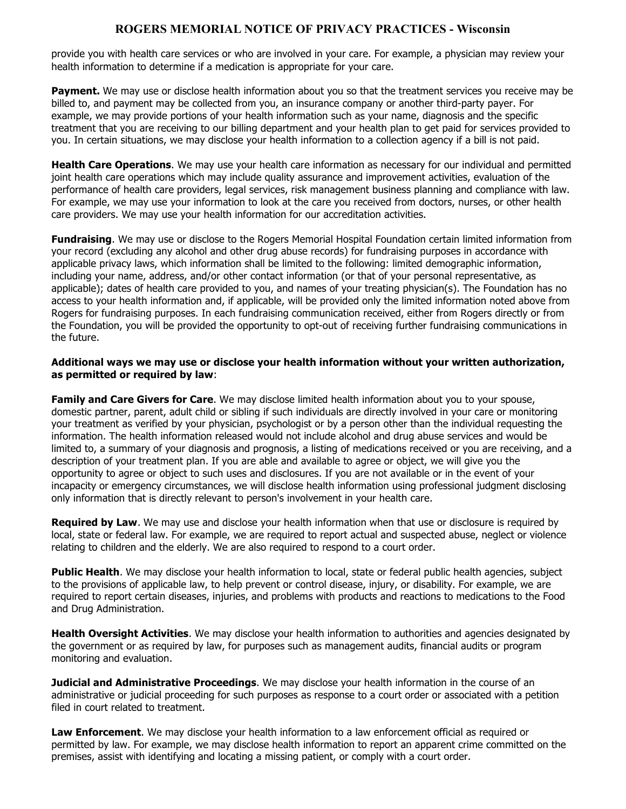provide you with health care services or who are involved in your care. For example, a physician may review your health information to determine if a medication is appropriate for your care.

**Payment.** We may use or disclose health information about you so that the treatment services you receive may be billed to, and payment may be collected from you, an insurance company or another third-party payer. For example, we may provide portions of your health information such as your name, diagnosis and the specific treatment that you are receiving to our billing department and your health plan to get paid for services provided to you. In certain situations, we may disclose your health information to a collection agency if a bill is not paid.

**Health Care Operations**. We may use your health care information as necessary for our individual and permitted joint health care operations which may include quality assurance and improvement activities, evaluation of the performance of health care providers, legal services, risk management business planning and compliance with law. For example, we may use your information to look at the care you received from doctors, nurses, or other health care providers. We may use your health information for our accreditation activities.

**Fundraising**. We may use or disclose to the Rogers Memorial Hospital Foundation certain limited information from your record (excluding any alcohol and other drug abuse records) for fundraising purposes in accordance with applicable privacy laws, which information shall be limited to the following: limited demographic information, including your name, address, and/or other contact information (or that of your personal representative, as applicable); dates of health care provided to you, and names of your treating physician(s). The Foundation has no access to your health information and, if applicable, will be provided only the limited information noted above from Rogers for fundraising purposes. In each fundraising communication received, either from Rogers directly or from the Foundation, you will be provided the opportunity to opt-out of receiving further fundraising communications in the future.

#### **Additional ways we may use or disclose your health information without your written authorization, as permitted or required by law**:

**Family and Care Givers for Care**. We may disclose limited health information about you to your spouse, domestic partner, parent, adult child or sibling if such individuals are directly involved in your care or monitoring your treatment as verified by your physician, psychologist or by a person other than the individual requesting the information. The health information released would not include alcohol and drug abuse services and would be limited to, a summary of your diagnosis and prognosis, a listing of medications received or you are receiving, and a description of your treatment plan. If you are able and available to agree or object, we will give you the opportunity to agree or object to such uses and disclosures. If you are not available or in the event of your incapacity or emergency circumstances, we will disclose health information using professional judgment disclosing only information that is directly relevant to person's involvement in your health care.

**Required by Law**. We may use and disclose your health information when that use or disclosure is required by local, state or federal law. For example, we are required to report actual and suspected abuse, neglect or violence relating to children and the elderly. We are also required to respond to a court order.

**Public Health**. We may disclose your health information to local, state or federal public health agencies, subject to the provisions of applicable law, to help prevent or control disease, injury, or disability. For example, we are required to report certain diseases, injuries, and problems with products and reactions to medications to the Food and Drug Administration.

**Health Oversight Activities**. We may disclose your health information to authorities and agencies designated by the government or as required by law, for purposes such as management audits, financial audits or program monitoring and evaluation.

**Judicial and Administrative Proceedings**. We may disclose your health information in the course of an administrative or judicial proceeding for such purposes as response to a court order or associated with a petition filed in court related to treatment.

**Law Enforcement**. We may disclose your health information to a law enforcement official as required or permitted by law. For example, we may disclose health information to report an apparent crime committed on the premises, assist with identifying and locating a missing patient, or comply with a court order.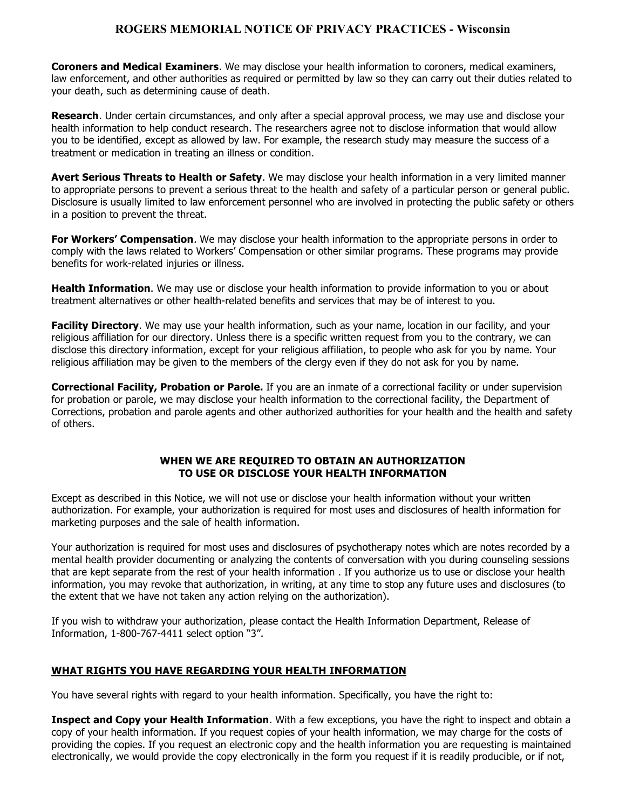**Coroners and Medical Examiners**. We may disclose your health information to coroners, medical examiners, law enforcement, and other authorities as required or permitted by law so they can carry out their duties related to your death, such as determining cause of death.

**Research**. Under certain circumstances, and only after a special approval process, we may use and disclose your health information to help conduct research. The researchers agree not to disclose information that would allow you to be identified, except as allowed by law. For example, the research study may measure the success of a treatment or medication in treating an illness or condition.

**Avert Serious Threats to Health or Safety**. We may disclose your health information in a very limited manner to appropriate persons to prevent a serious threat to the health and safety of a particular person or general public. Disclosure is usually limited to law enforcement personnel who are involved in protecting the public safety or others in a position to prevent the threat.

**For Workers' Compensation**. We may disclose your health information to the appropriate persons in order to comply with the laws related to Workers' Compensation or other similar programs. These programs may provide benefits for work-related injuries or illness.

**Health Information**. We may use or disclose your health information to provide information to you or about treatment alternatives or other health-related benefits and services that may be of interest to you.

**Facility Directory**. We may use your health information, such as your name, location in our facility, and your religious affiliation for our directory. Unless there is a specific written request from you to the contrary, we can disclose this directory information, except for your religious affiliation, to people who ask for you by name. Your religious affiliation may be given to the members of the clergy even if they do not ask for you by name.

**Correctional Facility, Probation or Parole.** If you are an inmate of a correctional facility or under supervision for probation or parole, we may disclose your health information to the correctional facility, the Department of Corrections, probation and parole agents and other authorized authorities for your health and the health and safety of others.

#### **WHEN WE ARE REQUIRED TO OBTAIN AN AUTHORIZATION TO USE OR DISCLOSE YOUR HEALTH INFORMATION**

Except as described in this Notice, we will not use or disclose your health information without your written authorization. For example, your authorization is required for most uses and disclosures of health information for marketing purposes and the sale of health information.

Your authorization is required for most uses and disclosures of psychotherapy notes which are notes recorded by a mental health provider documenting or analyzing the contents of conversation with you during counseling sessions that are kept separate from the rest of your health information . If you authorize us to use or disclose your health information, you may revoke that authorization, in writing, at any time to stop any future uses and disclosures (to the extent that we have not taken any action relying on the authorization).

If you wish to withdraw your authorization, please contact the Health Information Department, Release of Information, 1-800-767-4411 select option "3".

### **WHAT RIGHTS YOU HAVE REGARDING YOUR HEALTH INFORMATION**

You have several rights with regard to your health information. Specifically, you have the right to:

**Inspect and Copy your Health Information**. With a few exceptions, you have the right to inspect and obtain a copy of your health information. If you request copies of your health information, we may charge for the costs of providing the copies. If you request an electronic copy and the health information you are requesting is maintained electronically, we would provide the copy electronically in the form you request if it is readily producible, or if not,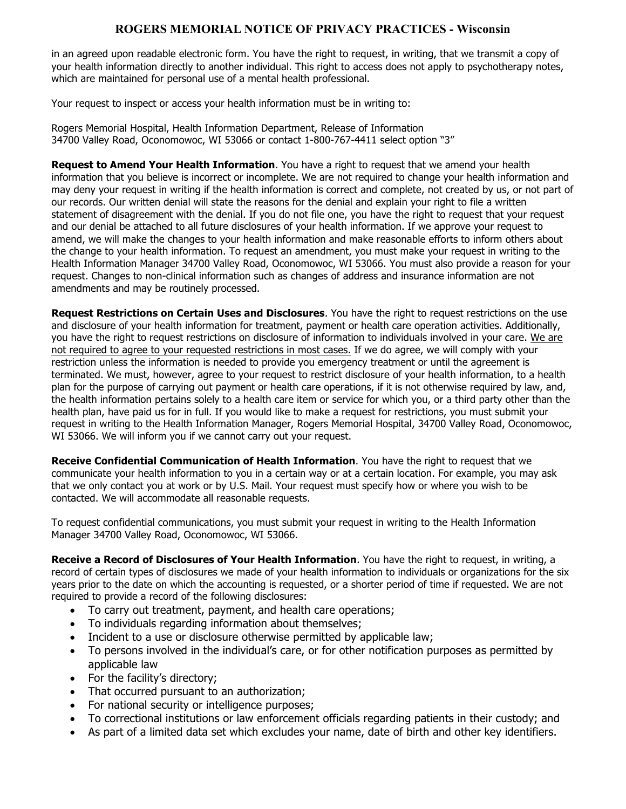in an agreed upon readable electronic form. You have the right to request, in writing, that we transmit a copy of your health information directly to another individual. This right to access does not apply to psychotherapy notes, which are maintained for personal use of a mental health professional.

Your request to inspect or access your health information must be in writing to:

Rogers Memorial Hospital, Health Information Department, Release of Information 34700 Valley Road, Oconomowoc, WI 53066 or contact 1-800-767-4411 select option "3"

**Request to Amend Your Health Information**. You have a right to request that we amend your health information that you believe is incorrect or incomplete. We are not required to change your health information and may deny your request in writing if the health information is correct and complete, not created by us, or not part of our records. Our written denial will state the reasons for the denial and explain your right to file a written statement of disagreement with the denial. If you do not file one, you have the right to request that your request and our denial be attached to all future disclosures of your health information. If we approve your request to amend, we will make the changes to your health information and make reasonable efforts to inform others about the change to your health information. To request an amendment, you must make your request in writing to the Health Information Manager 34700 Valley Road, Oconomowoc, WI 53066. You must also provide a reason for your request. Changes to non-clinical information such as changes of address and insurance information are not amendments and may be routinely processed.

**Request Restrictions on Certain Uses and Disclosures**. You have the right to request restrictions on the use and disclosure of your health information for treatment, payment or health care operation activities. Additionally, you have the right to request restrictions on disclosure of information to individuals involved in your care. We are not required to agree to your requested restrictions in most cases. If we do agree, we will comply with your restriction unless the information is needed to provide you emergency treatment or until the agreement is terminated. We must, however, agree to your request to restrict disclosure of your health information, to a health plan for the purpose of carrying out payment or health care operations, if it is not otherwise required by law, and, the health information pertains solely to a health care item or service for which you, or a third party other than the health plan, have paid us for in full. If you would like to make a request for restrictions, you must submit your request in writing to the Health Information Manager, Rogers Memorial Hospital, 34700 Valley Road, Oconomowoc, WI 53066. We will inform you if we cannot carry out your request.

**Receive Confidential Communication of Health Information**. You have the right to request that we communicate your health information to you in a certain way or at a certain location. For example, you may ask that we only contact you at work or by U.S. Mail. Your request must specify how or where you wish to be contacted. We will accommodate all reasonable requests.

To request confidential communications, you must submit your request in writing to the Health Information Manager 34700 Valley Road, Oconomowoc, WI 53066.

**Receive a Record of Disclosures of Your Health Information**. You have the right to request, in writing, a record of certain types of disclosures we made of your health information to individuals or organizations for the six years prior to the date on which the accounting is requested, or a shorter period of time if requested. We are not required to provide a record of the following disclosures:

- To carry out treatment, payment, and health care operations;
- To individuals regarding information about themselves;
- Incident to a use or disclosure otherwise permitted by applicable law;
- To persons involved in the individual's care, or for other notification purposes as permitted by applicable law
- For the facility's directory;
- That occurred pursuant to an authorization;
- For national security or intelligence purposes;
- To correctional institutions or law enforcement officials regarding patients in their custody; and
- As part of a limited data set which excludes your name, date of birth and other key identifiers.